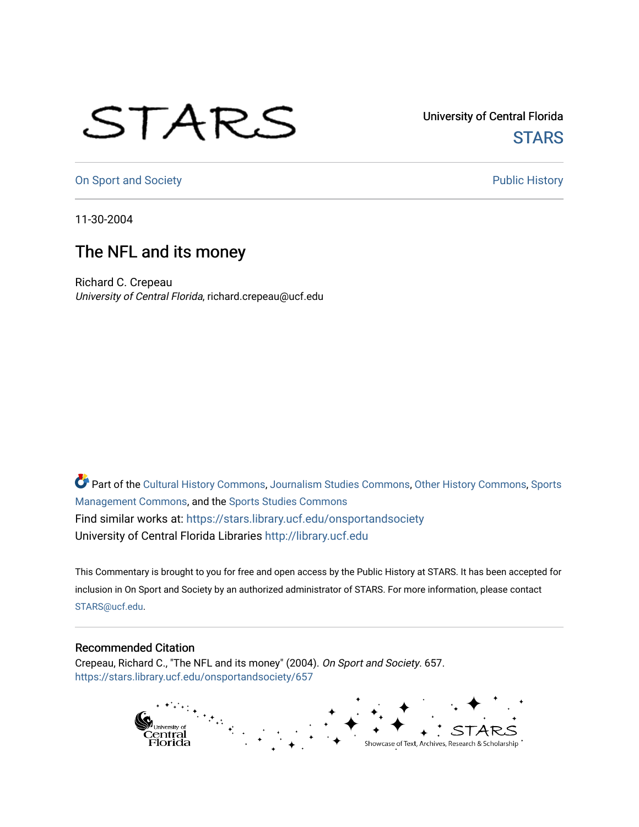## STARS

University of Central Florida **STARS** 

[On Sport and Society](https://stars.library.ucf.edu/onsportandsociety) **Public History** Public History

11-30-2004

## The NFL and its money

Richard C. Crepeau University of Central Florida, richard.crepeau@ucf.edu

Part of the [Cultural History Commons](http://network.bepress.com/hgg/discipline/496?utm_source=stars.library.ucf.edu%2Fonsportandsociety%2F657&utm_medium=PDF&utm_campaign=PDFCoverPages), [Journalism Studies Commons,](http://network.bepress.com/hgg/discipline/333?utm_source=stars.library.ucf.edu%2Fonsportandsociety%2F657&utm_medium=PDF&utm_campaign=PDFCoverPages) [Other History Commons,](http://network.bepress.com/hgg/discipline/508?utm_source=stars.library.ucf.edu%2Fonsportandsociety%2F657&utm_medium=PDF&utm_campaign=PDFCoverPages) [Sports](http://network.bepress.com/hgg/discipline/1193?utm_source=stars.library.ucf.edu%2Fonsportandsociety%2F657&utm_medium=PDF&utm_campaign=PDFCoverPages) [Management Commons](http://network.bepress.com/hgg/discipline/1193?utm_source=stars.library.ucf.edu%2Fonsportandsociety%2F657&utm_medium=PDF&utm_campaign=PDFCoverPages), and the [Sports Studies Commons](http://network.bepress.com/hgg/discipline/1198?utm_source=stars.library.ucf.edu%2Fonsportandsociety%2F657&utm_medium=PDF&utm_campaign=PDFCoverPages) Find similar works at: <https://stars.library.ucf.edu/onsportandsociety> University of Central Florida Libraries [http://library.ucf.edu](http://library.ucf.edu/) 

This Commentary is brought to you for free and open access by the Public History at STARS. It has been accepted for inclusion in On Sport and Society by an authorized administrator of STARS. For more information, please contact [STARS@ucf.edu](mailto:STARS@ucf.edu).

## Recommended Citation

Crepeau, Richard C., "The NFL and its money" (2004). On Sport and Society. 657. [https://stars.library.ucf.edu/onsportandsociety/657](https://stars.library.ucf.edu/onsportandsociety/657?utm_source=stars.library.ucf.edu%2Fonsportandsociety%2F657&utm_medium=PDF&utm_campaign=PDFCoverPages)

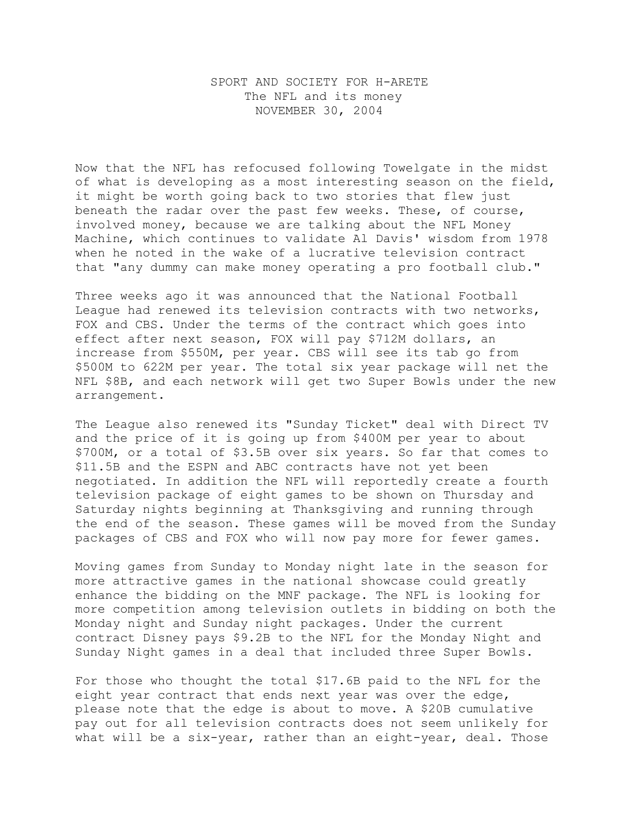## SPORT AND SOCIETY FOR H-ARETE The NFL and its money NOVEMBER 30, 2004

Now that the NFL has refocused following Towelgate in the midst of what is developing as a most interesting season on the field, it might be worth going back to two stories that flew just beneath the radar over the past few weeks. These, of course, involved money, because we are talking about the NFL Money Machine, which continues to validate Al Davis' wisdom from 1978 when he noted in the wake of a lucrative television contract that "any dummy can make money operating a pro football club."

Three weeks ago it was announced that the National Football League had renewed its television contracts with two networks, FOX and CBS. Under the terms of the contract which goes into effect after next season, FOX will pay \$712M dollars, an increase from \$550M, per year. CBS will see its tab go from \$500M to 622M per year. The total six year package will net the NFL \$8B, and each network will get two Super Bowls under the new arrangement.

The League also renewed its "Sunday Ticket" deal with Direct TV and the price of it is going up from \$400M per year to about \$700M, or a total of \$3.5B over six years. So far that comes to \$11.5B and the ESPN and ABC contracts have not yet been negotiated. In addition the NFL will reportedly create a fourth television package of eight games to be shown on Thursday and Saturday nights beginning at Thanksgiving and running through the end of the season. These games will be moved from the Sunday packages of CBS and FOX who will now pay more for fewer games.

Moving games from Sunday to Monday night late in the season for more attractive games in the national showcase could greatly enhance the bidding on the MNF package. The NFL is looking for more competition among television outlets in bidding on both the Monday night and Sunday night packages. Under the current contract Disney pays \$9.2B to the NFL for the Monday Night and Sunday Night games in a deal that included three Super Bowls.

For those who thought the total \$17.6B paid to the NFL for the eight year contract that ends next year was over the edge, please note that the edge is about to move. A \$20B cumulative pay out for all television contracts does not seem unlikely for what will be a six-year, rather than an eight-year, deal. Those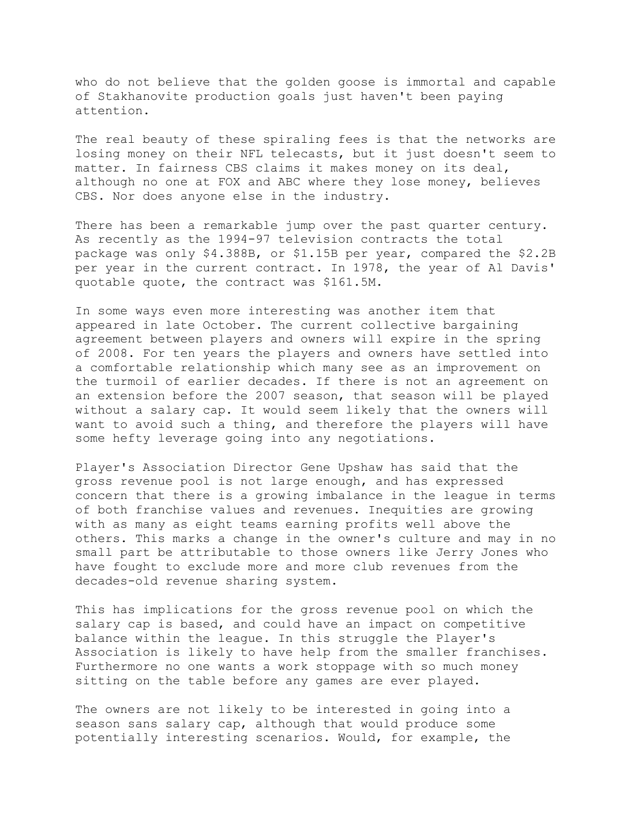who do not believe that the golden goose is immortal and capable of Stakhanovite production goals just haven't been paying attention.

The real beauty of these spiraling fees is that the networks are losing money on their NFL telecasts, but it just doesn't seem to matter. In fairness CBS claims it makes money on its deal, although no one at FOX and ABC where they lose money, believes CBS. Nor does anyone else in the industry.

There has been a remarkable jump over the past quarter century. As recently as the 1994-97 television contracts the total package was only \$4.388B, or \$1.15B per year, compared the \$2.2B per year in the current contract. In 1978, the year of Al Davis' quotable quote, the contract was \$161.5M.

In some ways even more interesting was another item that appeared in late October. The current collective bargaining agreement between players and owners will expire in the spring of 2008. For ten years the players and owners have settled into a comfortable relationship which many see as an improvement on the turmoil of earlier decades. If there is not an agreement on an extension before the 2007 season, that season will be played without a salary cap. It would seem likely that the owners will want to avoid such a thing, and therefore the players will have some hefty leverage going into any negotiations.

Player's Association Director Gene Upshaw has said that the gross revenue pool is not large enough, and has expressed concern that there is a growing imbalance in the league in terms of both franchise values and revenues. Inequities are growing with as many as eight teams earning profits well above the others. This marks a change in the owner's culture and may in no small part be attributable to those owners like Jerry Jones who have fought to exclude more and more club revenues from the decades-old revenue sharing system.

This has implications for the gross revenue pool on which the salary cap is based, and could have an impact on competitive balance within the league. In this struggle the Player's Association is likely to have help from the smaller franchises. Furthermore no one wants a work stoppage with so much money sitting on the table before any games are ever played.

The owners are not likely to be interested in going into a season sans salary cap, although that would produce some potentially interesting scenarios. Would, for example, the